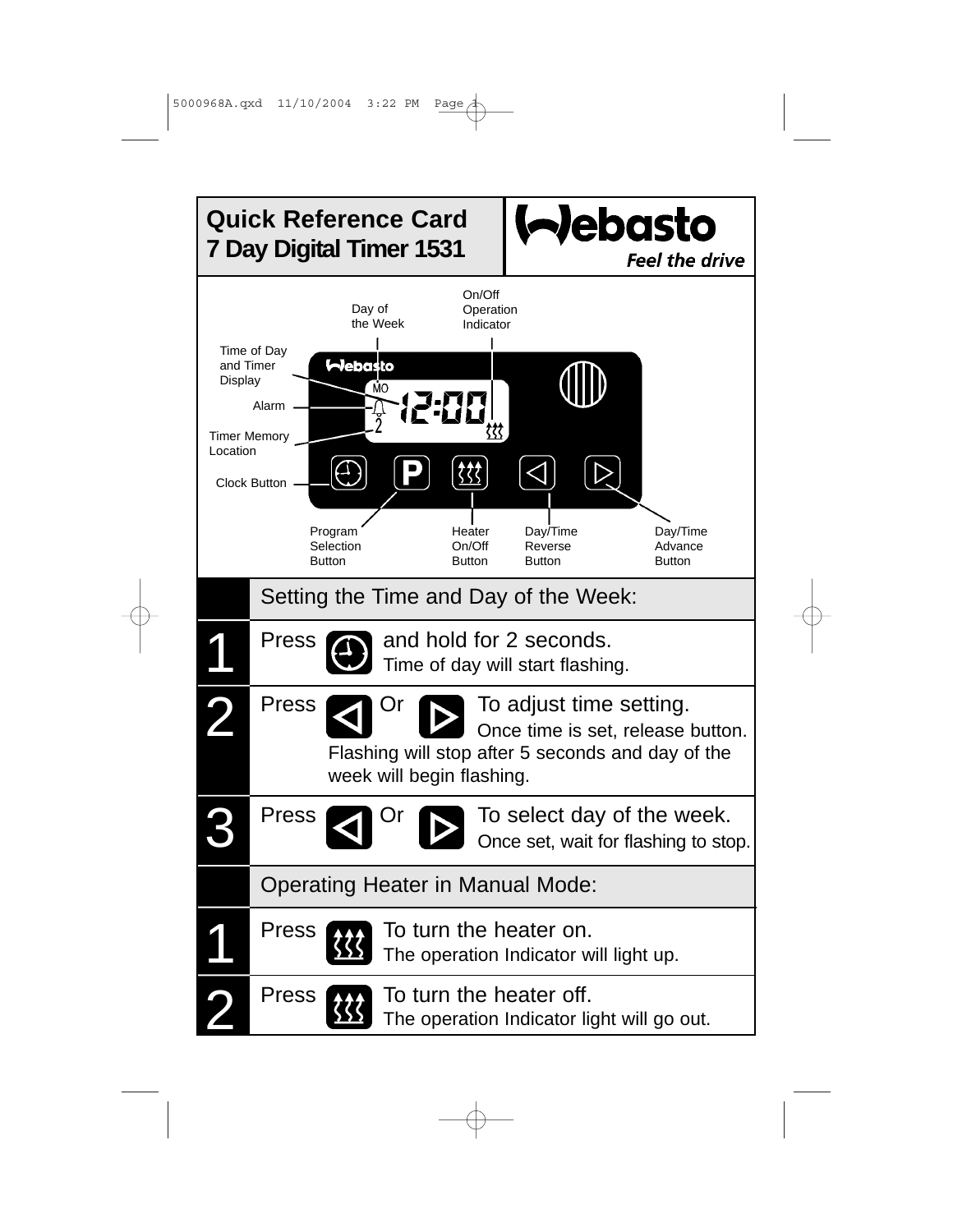